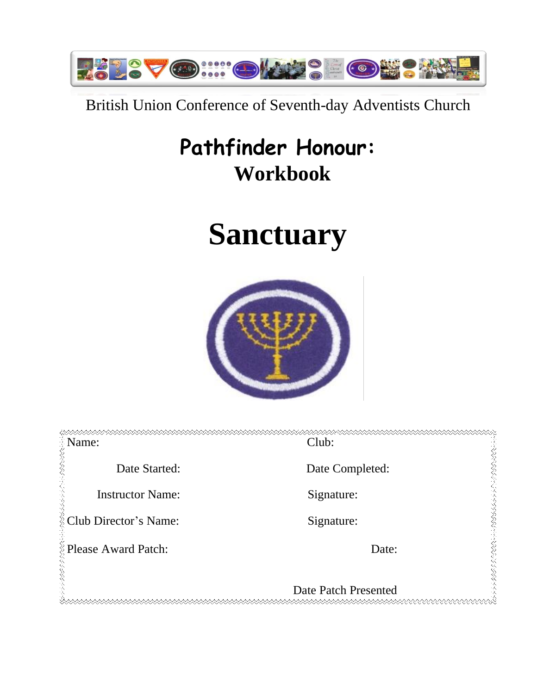

## British Union Conference of Seventh-day Adventists Church

## **Pathfinder Honour: Workbook**

# **Sanctuary**



| Name:                   | Club:                |
|-------------------------|----------------------|
| Date Started:           | Date Completed:      |
| <b>Instructor Name:</b> | Signature:           |
| Club Director's Name:   | Signature:           |
| Please Award Patch:     | Date:                |
|                         | Date Patch Presented |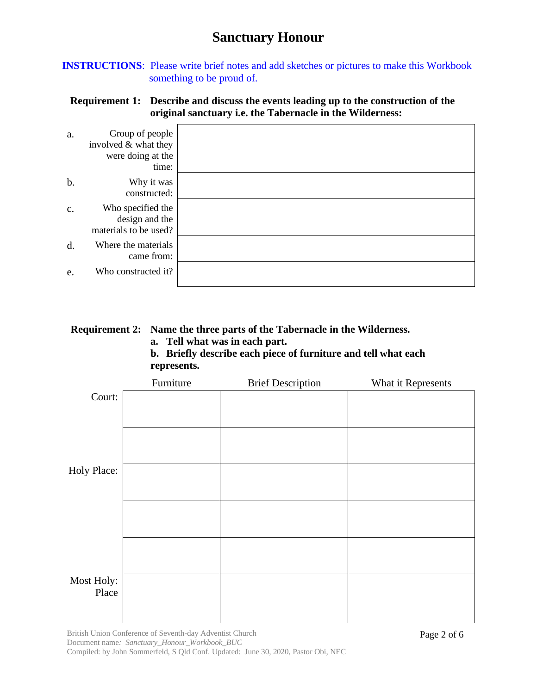**INSTRUCTIONS**: Please write brief notes and add sketches or pictures to make this Workbook something to be proud of.

## **Requirement 1: Describe and discuss the events leading up to the construction of the original sanctuary i.e. the Tabernacle in the Wilderness:**

| a.            | Group of people<br>involved & what they<br>were doing at the<br>time: |  |
|---------------|-----------------------------------------------------------------------|--|
| b.            | Why it was<br>constructed:                                            |  |
| $C_{\bullet}$ | Who specified the<br>design and the<br>materials to be used?          |  |
| d.            | Where the materials<br>came from:                                     |  |
| e.            | Who constructed it?                                                   |  |

## **Requirement 2: Name the three parts of the Tabernacle in the Wilderness.**

**a. Tell what was in each part.**

**b. Briefly describe each piece of furniture and tell what each represents.**

| <b>Furniture</b> | <b>Brief Description</b> | <b>What it Represents</b> |
|------------------|--------------------------|---------------------------|
|                  |                          |                           |
|                  |                          |                           |
|                  |                          |                           |
|                  |                          |                           |
|                  |                          |                           |
|                  |                          |                           |
|                  |                          |                           |
|                  |                          |                           |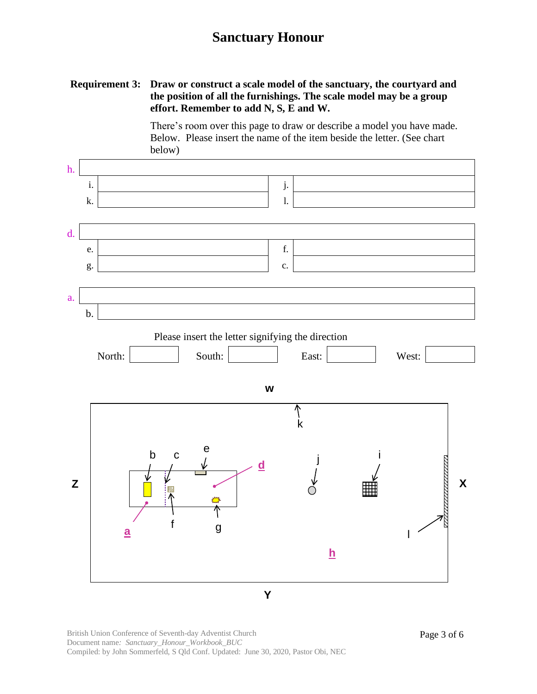## **Requirement 3: Draw or construct a scale model of the sanctuary, the courtyard and the position of all the furnishings. The scale model may be a group effort. Remember to add N, S, E and W.**

There's room over this page to draw or describe a model you have made. Below. Please insert the name of the item beside the letter. (See chart below)



British Union Conference of Seventh-day Adventist Church Document name*: Sanctuary\_Honour\_Workbook\_BUC* Compiled: by John Sommerfeld, S Qld Conf. Updated: June 30, 2020, Pastor Obi, NEC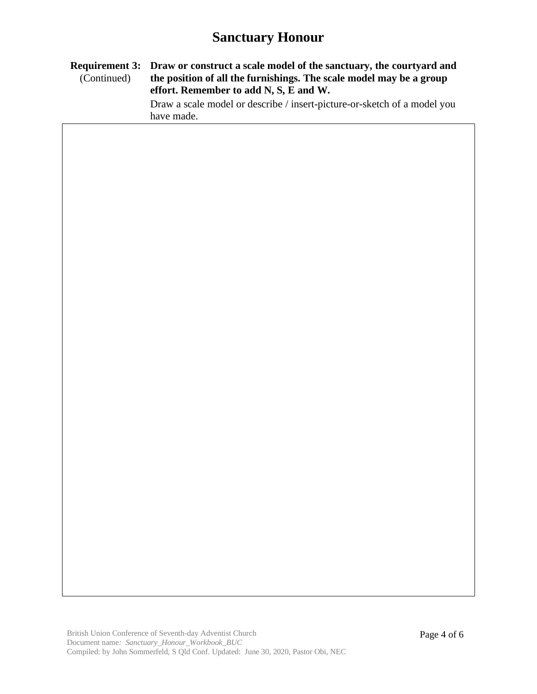#### **Requirement 3: Draw or construct a scale model of the sanctuary, the courtyard and**  (Continued) **the position of all the furnishings. The scale model may be a group effort. Remember to add N, S, E and W.**

Draw a scale model or describe / insert-picture-or-sketch of a model you have made.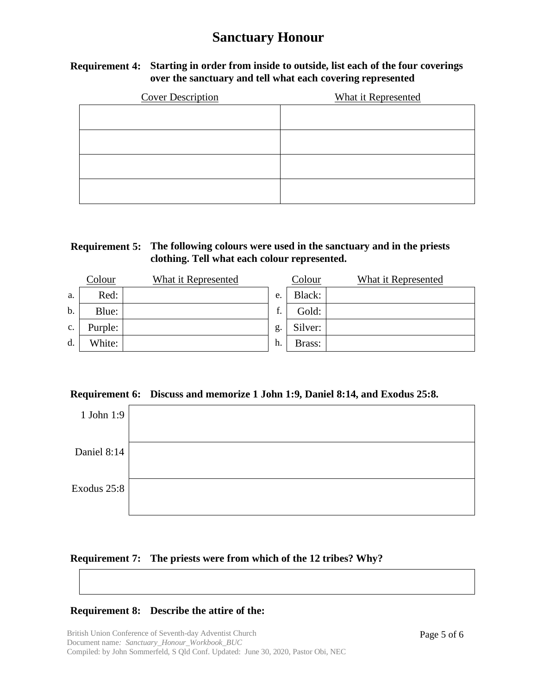## **Requirement 4: Starting in order from inside to outside, list each of the four coverings over the sanctuary and tell what each covering represented**

| <b>Cover Description</b> | What it Represented |
|--------------------------|---------------------|
|                          |                     |
|                          |                     |
|                          |                     |
|                          |                     |

## **Requirement 5: The following colours were used in the sanctuary and in the priests clothing. Tell what each colour represented.**

|    | Colour  | What it Represented |    | Colour  | What it Represented |
|----|---------|---------------------|----|---------|---------------------|
| a. | Red:    |                     | e. | Black:  |                     |
| b. | Blue:   |                     | £  | Gold:   |                     |
| c. | Purple: |                     | g. | Silver: |                     |
| d. | White:  |                     | h. | Brass:  |                     |

#### **Requirement 6: Discuss and memorize 1 John 1:9, Daniel 8:14, and Exodus 25:8.**

| 1 John 1:9  |  |
|-------------|--|
| Daniel 8:14 |  |
| Exodus 25:8 |  |

#### **Requirement 7: The priests were from which of the 12 tribes? Why?**

#### **Requirement 8: Describe the attire of the:**

British Union Conference of Seventh-day Adventist Church Document name*: Sanctuary\_Honour\_Workbook\_BUC* Compiled: by John Sommerfeld, S Qld Conf. Updated: June 30, 2020, Pastor Obi, NEC